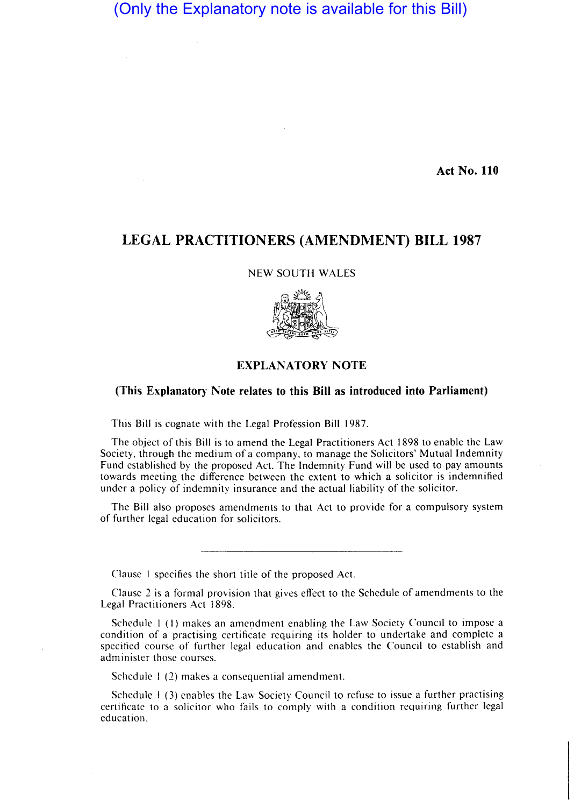(Only the Explanatory note is available for this Bill)

Act No. 110

## LEGAL PRACTITIONERS (AMENDMENT) BILL 1987

NEW SOUTH WALES



## EXPLANATORY NOTE

## (This Explanatory Note relates to this Bill as introduced into Parliament)

This Bill is cognate with the Legal Profession Bill 1987.

The object of this Bill is to amend the Legal Practitioners Act 1898 to enable the Law Society, through the medium of a company, to manage the Solicitors' Mutual Indemnity Fund established by the proposed Act. The Indemnity Fund will be used to pay amounts towards meeting the difference between the extent to which a solicitor is indemnified under a policy of indemnity insurance and the actual liability of the solicitor.

The Bill also proposes amendments to that Act to provide for a compulsory system of further legal education for solicitors.

Clause I specifics the short title of the proposed Act.

Clause 2 is a formal provision that gives effect to the Schedule of amendments to the Legal Practitioners Act 1898.

Schedule I (I) makes an amendment enabling the Law Society Council to impose a condition of a practising certificate requiring its holder to undertake and complete a specified course of further legal education and enables the Council to establish and administer those courses.

Schedule I (2) makes a consequential amendment.

Schedule 1 (3) enables the Law Society Council to refuse to issue a further practising certificate to a solicitor who fails to comply with a condition requiring further legal education.